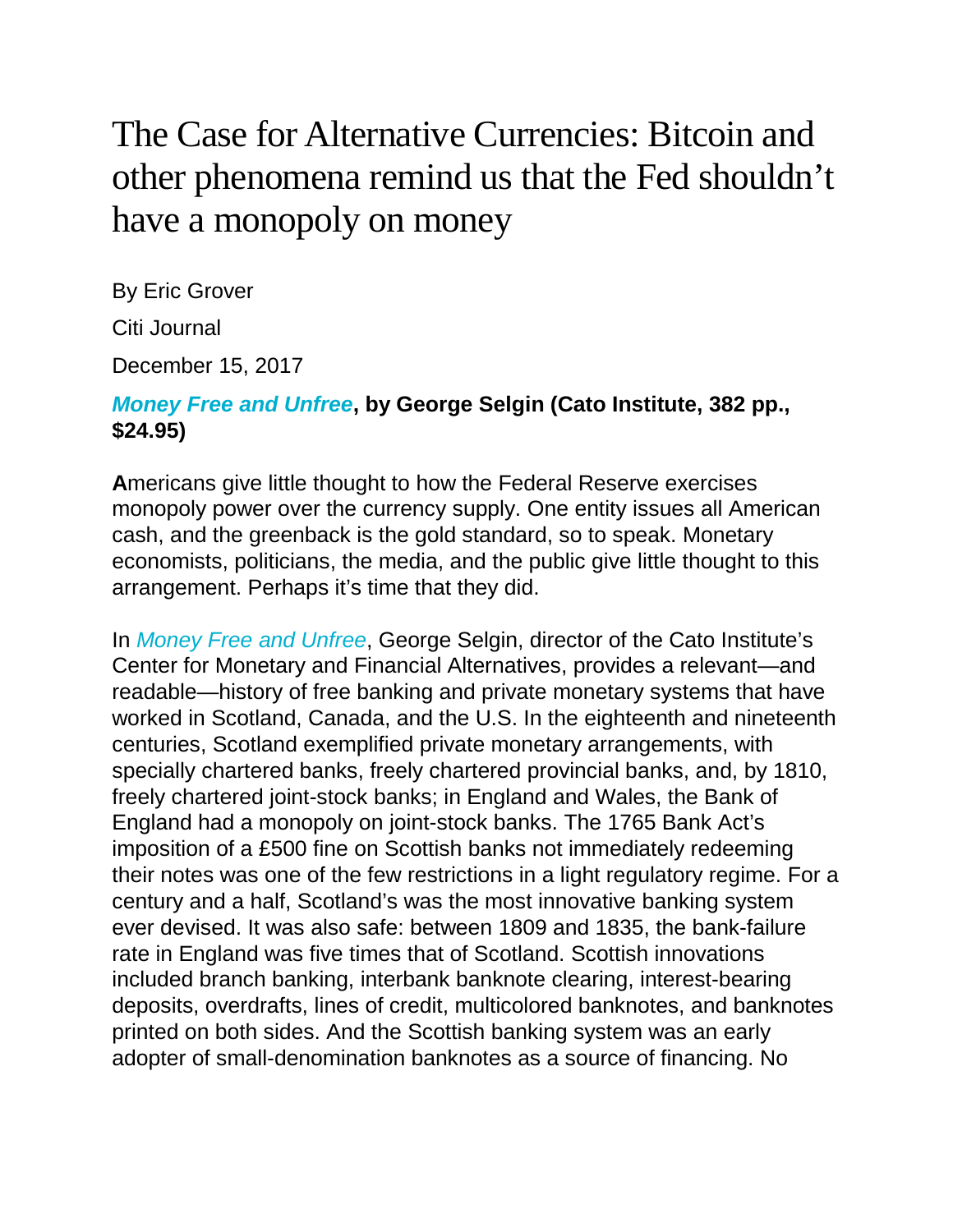## The Case for Alternative Currencies: Bitcoin and other phenomena remind us that the Fed shouldn't have a monopoly on money

By Eric Grover Citi Journal December 15, 2017

## *[Money](https://www.amazon.com/exec/obidos/ASIN/1944424296/manhattaninstitu/) Free and Unfree***, by George Selgin (Cato Institute, 382 pp., \$24.95)**

**A**mericans give little thought to how the Federal Reserve exercises monopoly power over the currency supply. One entity issues all American cash, and the greenback is the gold standard, so to speak. Monetary economists, politicians, the media, and the public give little thought to this arrangement. Perhaps it's time that they did.

In *Money Free and [Unfree](https://www.amazon.com/exec/obidos/ASIN/1944424296/manhattaninstitu/)*, George Selgin, director of the Cato Institute's Center for Monetary and Financial Alternatives, provides a relevant—and readable—history of free banking and private monetary systems that have worked in Scotland, Canada, and the U.S. In the eighteenth and nineteenth centuries, Scotland exemplified private monetary arrangements, with specially chartered banks, freely chartered provincial banks, and, by 1810, freely chartered joint-stock banks; in England and Wales, the Bank of England had a monopoly on joint-stock banks. The 1765 Bank Act's imposition of a £500 fine on Scottish banks not immediately redeeming their notes was one of the few restrictions in a light regulatory regime. For a century and a half, Scotland's was the most innovative banking system ever devised. It was also safe: between 1809 and 1835, the bank-failure rate in England was five times that of Scotland. Scottish innovations included branch banking, interbank banknote clearing, interest-bearing deposits, overdrafts, lines of credit, multicolored banknotes, and banknotes printed on both sides. And the Scottish banking system was an early adopter of small-denomination banknotes as a source of financing. No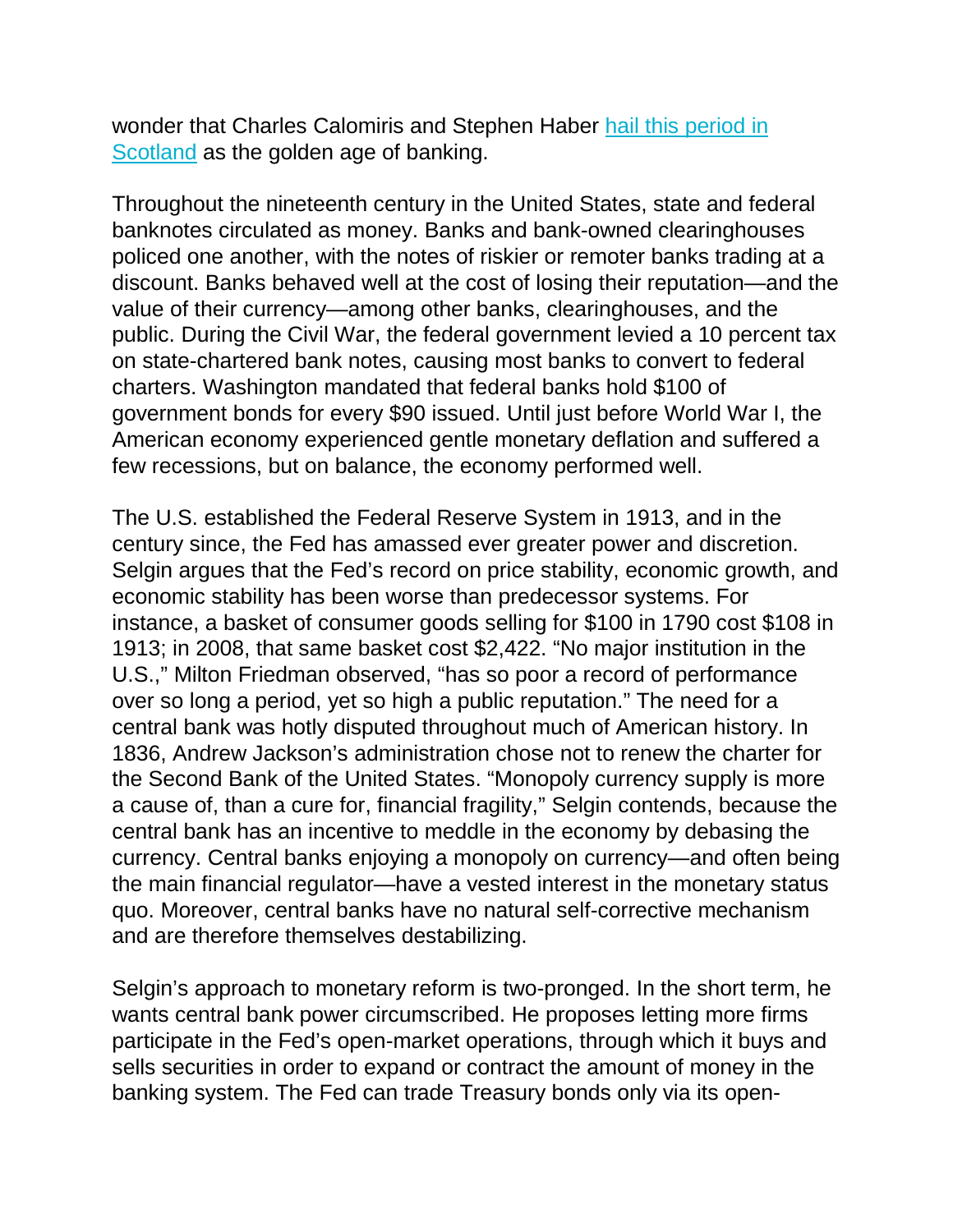wonder that Charles Calomiris and Stephen Haber hail this [period](https://www.amazon.com/exec/obidos/ASIN/0691168350/manhattaninstitu/) in [Scotland](https://www.amazon.com/exec/obidos/ASIN/0691168350/manhattaninstitu/) as the golden age of banking.

Throughout the nineteenth century in the United States, state and federal banknotes circulated as money. Banks and bank-owned clearinghouses policed one another, with the notes of riskier or remoter banks trading at a discount. Banks behaved well at the cost of losing their reputation—and the value of their currency—among other banks, clearinghouses, and the public. During the Civil War, the federal government levied a 10 percent tax on state-chartered bank notes, causing most banks to convert to federal charters. Washington mandated that federal banks hold \$100 of government bonds for every \$90 issued. Until just before World War I, the American economy experienced gentle monetary deflation and suffered a few recessions, but on balance, the economy performed well.

The U.S. established the Federal Reserve System in 1913, and in the century since, the Fed has amassed ever greater power and discretion. Selgin argues that the Fed's record on price stability, economic growth, and economic stability has been worse than predecessor systems. For instance, a basket of consumer goods selling for \$100 in 1790 cost \$108 in 1913; in 2008, that same basket cost \$2,422. "No major institution in the U.S.," Milton Friedman observed, "has so poor a record of performance over so long a period, yet so high a public reputation." The need for a central bank was hotly disputed throughout much of American history. In 1836, Andrew Jackson's administration chose not to renew the charter for the Second Bank of the United States. "Monopoly currency supply is more a cause of, than a cure for, financial fragility," Selgin contends, because the central bank has an incentive to meddle in the economy by debasing the currency. Central banks enjoying a monopoly on currency—and often being the main financial regulator—have a vested interest in the monetary status quo. Moreover, central banks have no natural self-corrective mechanism and are therefore themselves destabilizing.

Selgin's approach to monetary reform is two-pronged. In the short term, he wants central bank power circumscribed. He proposes letting more firms participate in the Fed's open-market operations, through which it buys and sells securities in order to expand or contract the amount of money in the banking system. The Fed can trade Treasury bonds only via its open